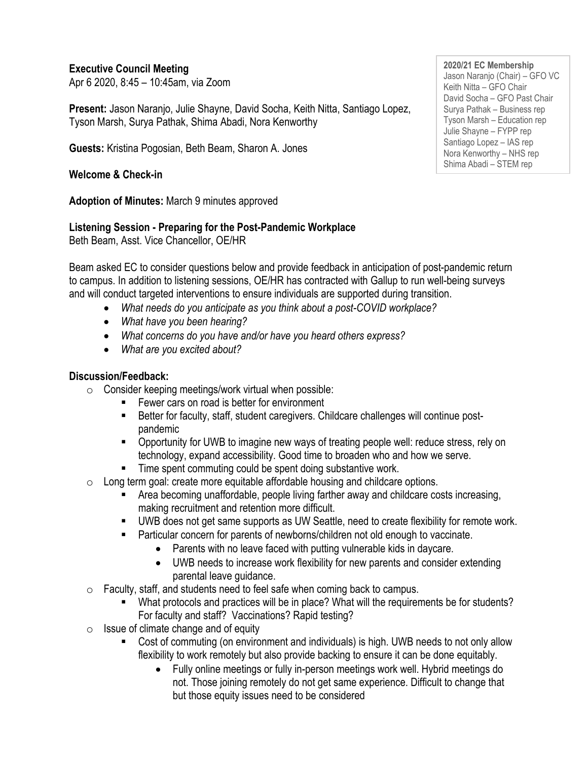#### **Executive Council Meeting**

Apr 6 2020, 8:45 – 10:45am, via Zoom

**Present:** Jason Naranjo, Julie Shayne, David Socha, Keith Nitta, Santiago Lopez, Tyson Marsh, Surya Pathak, Shima Abadi, Nora Kenworthy

**Guests:** Kristina Pogosian, Beth Beam, Sharon A. Jones

**Welcome & Check-in**

**Adoption of Minutes:** March 9 minutes approved

#### **Listening Session - Preparing for the Post-Pandemic Workplace**

Beth Beam, Asst. Vice Chancellor, OE/HR

Beam asked EC to consider questions below and provide feedback in anticipation of post-pandemic return to campus. In addition to listening sessions, OE/HR has contracted with Gallup to run well-being surveys and will conduct targeted interventions to ensure individuals are supported during transition.

- *What needs do you anticipate as you think about a post-COVID workplace?*
- *What have you been hearing?*
- *What concerns do you have and/or have you heard others express?*
- *What are you excited about?*

### **Discussion/Feedback:**

- $\circ$  Consider keeping meetings/work virtual when possible:
	- Fewer cars on road is better for environment
	- Better for faculty, staff, student caregivers. Childcare challenges will continue postpandemic
	- Opportunity for UWB to imagine new ways of treating people well: reduce stress, rely on technology, expand accessibility. Good time to broaden who and how we serve.
	- Time spent commuting could be spent doing substantive work.
- $\circ$  Long term goal: create more equitable affordable housing and childcare options.
	- Area becoming unaffordable, people living farther away and childcare costs increasing, making recruitment and retention more difficult.
	- UWB does not get same supports as UW Seattle, need to create flexibility for remote work.
	- Particular concern for parents of newborns/children not old enough to vaccinate.
		- Parents with no leave faced with putting vulnerable kids in daycare.
		- UWB needs to increase work flexibility for new parents and consider extending parental leave guidance.
- $\circ$  Faculty, staff, and students need to feel safe when coming back to campus.
	- What protocols and practices will be in place? What will the requirements be for students? For faculty and staff? Vaccinations? Rapid testing?
- $\circ$  Issue of climate change and of equity
	- Cost of commuting (on environment and individuals) is high. UWB needs to not only allow flexibility to work remotely but also provide backing to ensure it can be done equitably.
		- Fully online meetings or fully in-person meetings work well. Hybrid meetings do not. Those joining remotely do not get same experience. Difficult to change that but those equity issues need to be considered

**2020/21 EC Membership** Jason Naranjo (Chair) – GFO VC Keith Nitta – GFO Chair David Socha – GFO Past Chair Surya Pathak – Business rep Tyson Marsh – Education rep Julie Shayne – FYPP rep Santiago Lopez – IAS rep Nora Kenworthy – NHS rep Shima Abadi – STEM rep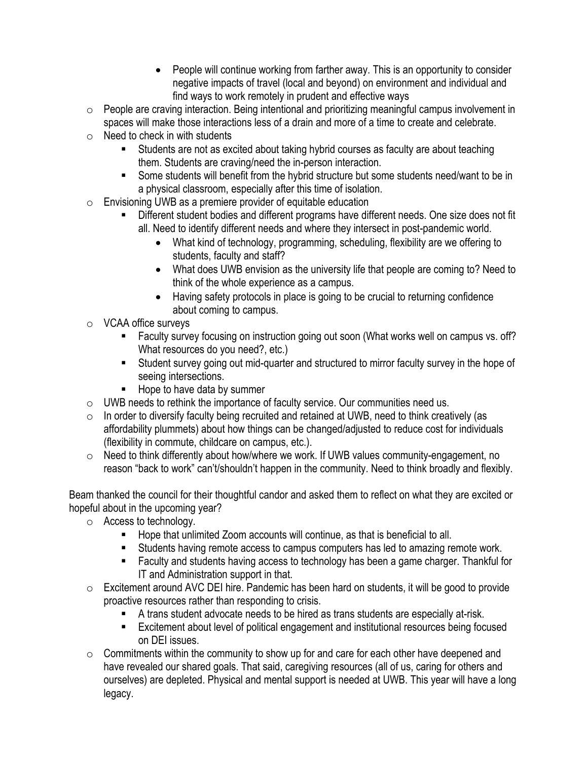- People will continue working from farther away. This is an opportunity to consider negative impacts of travel (local and beyond) on environment and individual and find ways to work remotely in prudent and effective ways
- $\circ$  People are craving interaction. Being intentional and prioritizing meaningful campus involvement in spaces will make those interactions less of a drain and more of a time to create and celebrate.
- $\circ$  Need to check in with students
	- Students are not as excited about taking hybrid courses as faculty are about teaching them. Students are craving/need the in-person interaction.
	- Some students will benefit from the hybrid structure but some students need/want to be in a physical classroom, especially after this time of isolation.
- $\circ$  Envisioning UWB as a premiere provider of equitable education
	- Different student bodies and different programs have different needs. One size does not fit all. Need to identify different needs and where they intersect in post-pandemic world.
		- What kind of technology, programming, scheduling, flexibility are we offering to students, faculty and staff?
		- What does UWB envision as the university life that people are coming to? Need to think of the whole experience as a campus.
		- Having safety protocols in place is going to be crucial to returning confidence about coming to campus.
- o VCAA office surveys
	- Faculty survey focusing on instruction going out soon (What works well on campus vs. off? What resources do you need?, etc.)
	- Student survey going out mid-quarter and structured to mirror faculty survey in the hope of seeing intersections.
	- Hope to have data by summer
- o UWB needs to rethink the importance of faculty service. Our communities need us.
- $\circ$  In order to diversify faculty being recruited and retained at UWB, need to think creatively (as affordability plummets) about how things can be changed/adjusted to reduce cost for individuals (flexibility in commute, childcare on campus, etc.).
- o Need to think differently about how/where we work. If UWB values community-engagement, no reason "back to work" can't/shouldn't happen in the community. Need to think broadly and flexibly.

Beam thanked the council for their thoughtful candor and asked them to reflect on what they are excited or hopeful about in the upcoming year?

- o Access to technology.
	- Hope that unlimited Zoom accounts will continue, as that is beneficial to all.
	- Students having remote access to campus computers has led to amazing remote work.
	- Faculty and students having access to technology has been a game charger. Thankful for IT and Administration support in that.
- o Excitement around AVC DEI hire. Pandemic has been hard on students, it will be good to provide proactive resources rather than responding to crisis.
	- A trans student advocate needs to be hired as trans students are especially at-risk.
	- Excitement about level of political engagement and institutional resources being focused on DEI issues.
- $\circ$  Commitments within the community to show up for and care for each other have deepened and have revealed our shared goals. That said, caregiving resources (all of us, caring for others and ourselves) are depleted. Physical and mental support is needed at UWB. This year will have a long legacy.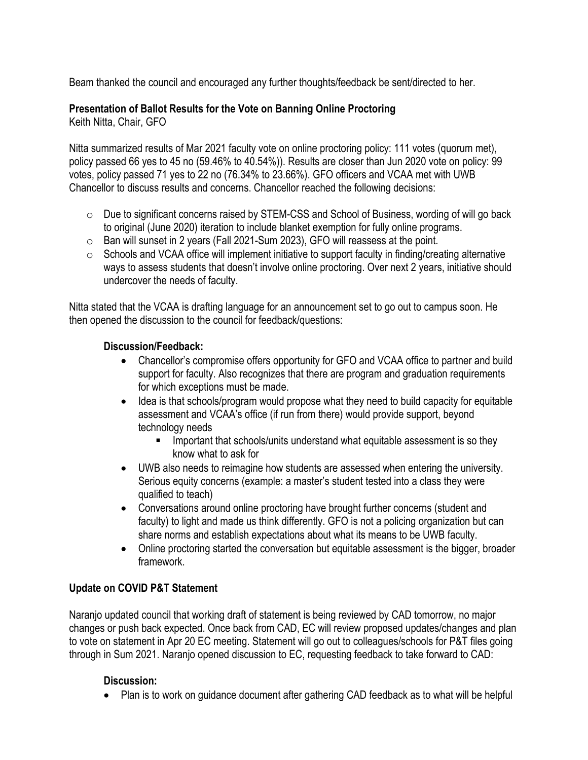Beam thanked the council and encouraged any further thoughts/feedback be sent/directed to her.

# **Presentation of Ballot Results for the Vote on Banning Online Proctoring**

Keith Nitta, Chair, GFO

Nitta summarized results of Mar 2021 faculty vote on online proctoring policy: 111 votes (quorum met), policy passed 66 yes to 45 no (59.46% to 40.54%)). Results are closer than Jun 2020 vote on policy: 99 votes, policy passed 71 yes to 22 no (76.34% to 23.66%). GFO officers and VCAA met with UWB Chancellor to discuss results and concerns. Chancellor reached the following decisions:

- $\circ$  Due to significant concerns raised by STEM-CSS and School of Business, wording of will go back to original (June 2020) iteration to include blanket exemption for fully online programs.
- o Ban will sunset in 2 years (Fall 2021-Sum 2023), GFO will reassess at the point.
- $\circ$  Schools and VCAA office will implement initiative to support faculty in finding/creating alternative ways to assess students that doesn't involve online proctoring. Over next 2 years, initiative should undercover the needs of faculty.

Nitta stated that the VCAA is drafting language for an announcement set to go out to campus soon. He then opened the discussion to the council for feedback/questions:

#### **Discussion/Feedback:**

- Chancellor's compromise offers opportunity for GFO and VCAA office to partner and build support for faculty. Also recognizes that there are program and graduation requirements for which exceptions must be made.
- Idea is that schools/program would propose what they need to build capacity for equitable assessment and VCAA's office (if run from there) would provide support, beyond technology needs
	- **EXECT** Important that schools/units understand what equitable assessment is so they know what to ask for
- UWB also needs to reimagine how students are assessed when entering the university. Serious equity concerns (example: a master's student tested into a class they were qualified to teach)
- Conversations around online proctoring have brought further concerns (student and faculty) to light and made us think differently. GFO is not a policing organization but can share norms and establish expectations about what its means to be UWB faculty.
- Online proctoring started the conversation but equitable assessment is the bigger, broader framework.

## **Update on COVID P&T Statement**

Naranjo updated council that working draft of statement is being reviewed by CAD tomorrow, no major changes or push back expected. Once back from CAD, EC will review proposed updates/changes and plan to vote on statement in Apr 20 EC meeting. Statement will go out to colleagues/schools for P&T files going through in Sum 2021. Naranjo opened discussion to EC, requesting feedback to take forward to CAD:

#### **Discussion:**

• Plan is to work on guidance document after gathering CAD feedback as to what will be helpful